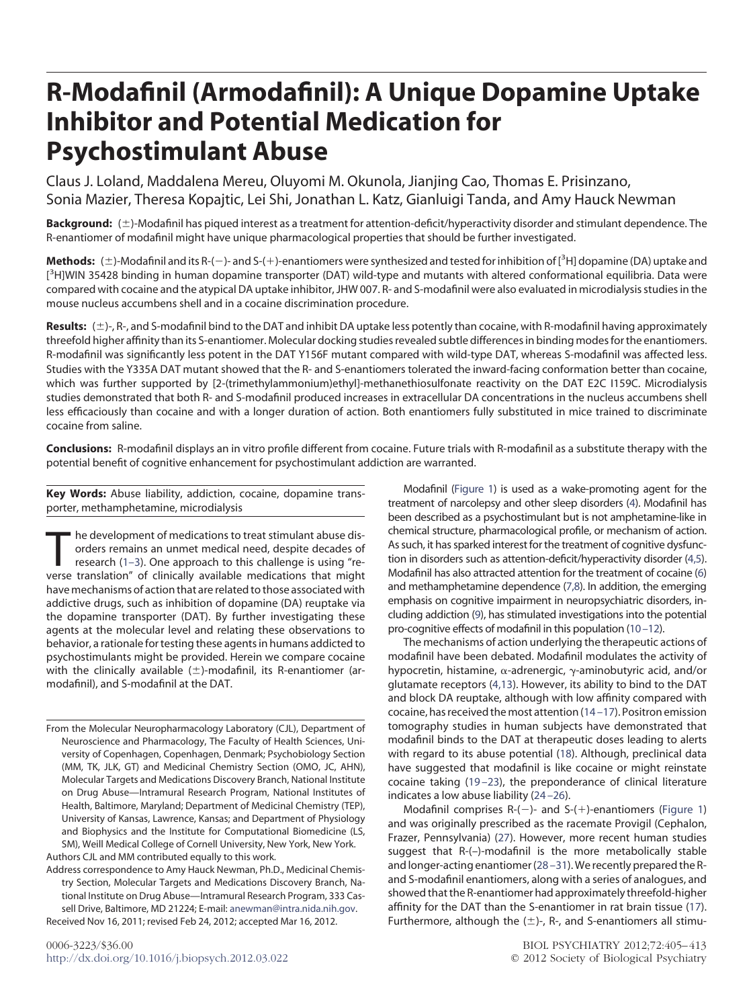# **R-Modafinil (Armodafinil): A Unique Dopamine Uptake Inhibitor and Potential Medication for Psychostimulant Abuse**

Claus J. Loland, Maddalena Mereu, Oluyomi M. Okunola, Jianjing Cao, Thomas E. Prisinzano, Sonia Mazier, Theresa Kopajtic, Lei Shi, Jonathan L. Katz, Gianluigi Tanda, and Amy Hauck Newman

**Background:**  $(\pm)$ -Modafinil has piqued interest as a treatment for attention-deficit/hyperactivity disorder and stimulant dependence. The R-enantiomer of modafinil might have unique pharmacological properties that should be further investigated.

Methods: (±)-Modafinil and its R-(-)- and S-(+)-enantiomers were synthesized and tested for inhibition of [<sup>3</sup>H] dopamine (DA) uptake and [<sup>3</sup>H]WIN 35428 binding in human dopamine transporter (DAT) wild-type and mutants with altered conformational equilibria. Data were compared with cocaine and the atypical DA uptake inhibitor, JHW 007. R- and S-modafinil were also evaluated in microdialysis studies in the mouse nucleus accumbens shell and in a cocaine discrimination procedure.

**Results:**  $(\pm)$ -, R-, and S-modafinil bind to the DAT and inhibit DA uptake less potently than cocaine, with R-modafinil having approximately threefold higher affinity than its S-enantiomer. Molecular docking studies revealed subtle differences in binding modes for the enantiomers. R-modafinil was significantly less potent in the DAT Y156F mutant compared with wild-type DAT, whereas S-modafinil was affected less. Studies with the Y335A DAT mutant showed that the R- and S-enantiomers tolerated the inward-facing conformation better than cocaine, which was further supported by [2-(trimethylammonium)ethyl]-methanethiosulfonate reactivity on the DAT E2C I159C. Microdialysis studies demonstrated that both R- and S-modafinil produced increases in extracellular DA concentrations in the nucleus accumbens shell less efficaciously than cocaine and with a longer duration of action. Both enantiomers fully substituted in mice trained to discriminate cocaine from saline.

**Conclusions:** R-modafinil displays an in vitro profile different from cocaine. Future trials with R-modafinil as a substitute therapy with the potential benefit of cognitive enhancement for psychostimulant addiction are warranted.

**Key Words:** Abuse liability, addiction, cocaine, dopamine transporter, methamphetamine, microdialysis

he development of medications to treat stimulant abuse disorders remains an unmet medical need, despite decades of research (1–3). One approach to this challenge is using "reverse translation" of clinically available medications that might have mechanisms of action that are related to those associated with addictive drugs, such as inhibition of dopamine (DA) reuptake via the dopamine transporter (DAT). By further investigating these agents at the molecular level and relating these observations to behavior, a rationale for testing these agents in humans addicted to psychostimulants might be provided. Herein we compare cocaine with the clinically available  $(\pm)$ -modafinil, its R-enantiomer (armodafinil), and S-modafinil at the DAT.

From the Molecular Neuropharmacology Laboratory (CJL), Department of Neuroscience and Pharmacology, The Faculty of Health Sciences, University of Copenhagen, Copenhagen, Denmark; Psychobiology Section (MM, TK, JLK, GT) and Medicinal Chemistry Section (OMO, JC, AHN), Molecular Targets and Medications Discovery Branch, National Institute on Drug Abuse—Intramural Research Program, National Institutes of Health, Baltimore, Maryland; Department of Medicinal Chemistry (TEP), University of Kansas, Lawrence, Kansas; and Department of Physiology and Biophysics and the Institute for Computational Biomedicine (LS, SM), Weill Medical College of Cornell University, New York, New York.

Authors CJL and MM contributed equally to this work.

Address correspondence to Amy Hauck Newman, Ph.D., Medicinal Chemistry Section, Molecular Targets and Medications Discovery Branch, National Institute on Drug Abuse—Intramural Research Program, 333 Cassell Drive, Baltimore, MD 21224; E-mail: [anewman@intra.nida.nih.gov.](mailto:anewman@intra.nida.nih.gov) Received Nov 16, 2011; revised Feb 24, 2012; accepted Mar 16, 2012.

Modafinil (Figure 1) is used as a wake-promoting agent for the treatment of narcolepsy and other sleep disorders (4). Modafinil has been described as a psychostimulant but is not amphetamine-like in chemical structure, pharmacological profile, or mechanism of action. As such, it has sparked interest for the treatment of cognitive dysfunction in disorders such as attention-deficit/hyperactivity disorder (4,5). Modafinil has also attracted attention for the treatment of cocaine (6) and methamphetamine dependence (7,8). In addition, the emerging emphasis on cognitive impairment in neuropsychiatric disorders, including addiction (9), has stimulated investigations into the potential pro-cognitive effects of modafinil in this population (10 –12).

The mechanisms of action underlying the therapeutic actions of modafinil have been debated. Modafinil modulates the activity of hypocretin, histamine,  $\alpha$ -adrenergic,  $\gamma$ -aminobutyric acid, and/or glutamate receptors (4,13). However, its ability to bind to the DAT and block DA reuptake, although with low affinity compared with cocaine, has received the most attention(14 –17). Positron emission tomography studies in human subjects have demonstrated that modafinil binds to the DAT at therapeutic doses leading to alerts with regard to its abuse potential (18). Although, preclinical data have suggested that modafinil is like cocaine or might reinstate cocaine taking (19 –23), the preponderance of clinical literature indicates a low abuse liability (24 –26).

Modafinil comprises  $R-(-)$ - and  $S-(+)$ -enantiomers (Figure 1) and was originally prescribed as the racemate Provigil (Cephalon, Frazer, Pennsylvania) (27). However, more recent human studies suggest that R-(–)-modafinil is the more metabolically stable and longer-acting enantiomer (28 –31). We recently prepared the Rand S-modafinil enantiomers, along with a series of analogues, and showed that the R-enantiomer had approximately threefold-higher affinity for the DAT than the S-enantiomer in rat brain tissue (17). Furthermore, although the  $(\pm)$ -, R-, and S-enantiomers all stimu-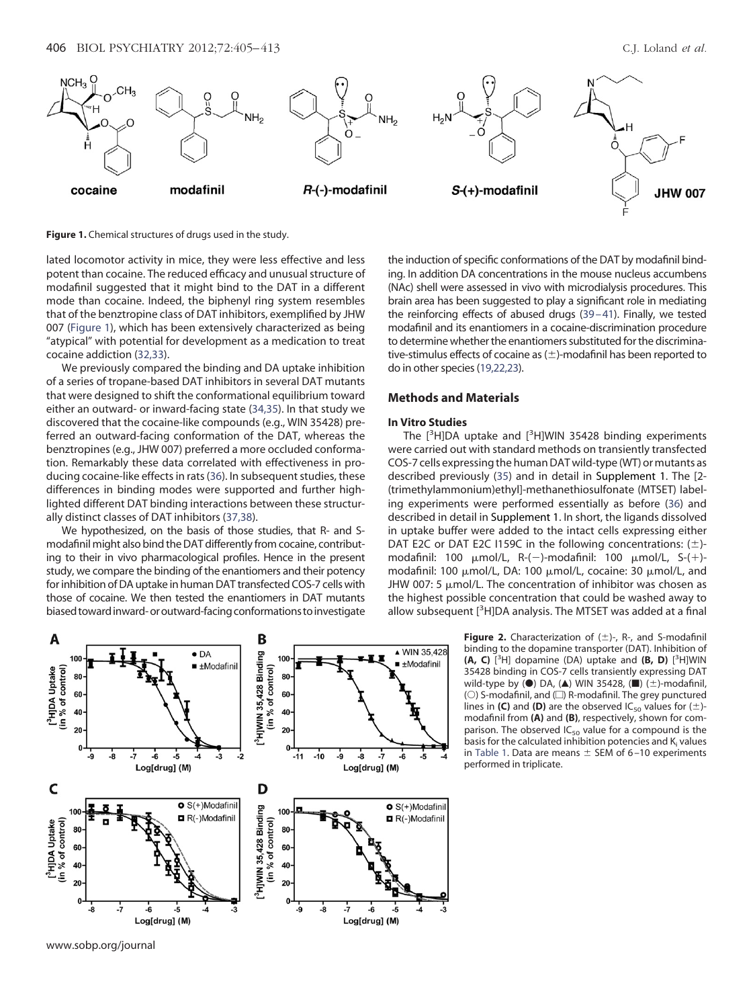

**Figure 1.** Chemical structures of drugs used in the study.

lated locomotor activity in mice, they were less effective and less potent than cocaine. The reduced efficacy and unusual structure of modafinil suggested that it might bind to the DAT in a different mode than cocaine. Indeed, the biphenyl ring system resembles that of the benztropine class of DAT inhibitors, exemplified by JHW 007 (Figure 1), which has been extensively characterized as being "atypical" with potential for development as a medication to treat cocaine addiction (32,33).

We previously compared the binding and DA uptake inhibition of a series of tropane-based DAT inhibitors in several DAT mutants that were designed to shift the conformational equilibrium toward either an outward- or inward-facing state (34,35). In that study we discovered that the cocaine-like compounds (e.g., WIN 35428) preferred an outward-facing conformation of the DAT, whereas the benztropines (e.g., JHW 007) preferred a more occluded conformation. Remarkably these data correlated with effectiveness in producing cocaine-like effects in rats (36). In subsequent studies, these differences in binding modes were supported and further highlighted different DAT binding interactions between these structurally distinct classes of DAT inhibitors (37,38).

We hypothesized, on the basis of those studies, that R- and Smodafinil might also bind the DAT differently from cocaine, contributing to their in vivo pharmacological profiles. Hence in the present study, we compare the binding of the enantiomers and their potency for inhibition of DA uptake in human DAT transfected COS-7 cells with those of cocaine. We then tested the enantiomers in DAT mutants biased toward inward-or outward-facing conformations to investigate

the induction of specific conformations of the DAT by modafinil binding. In addition DA concentrations in the mouse nucleus accumbens (NAc) shell were assessed in vivo with microdialysis procedures. This brain area has been suggested to play a significant role in mediating the reinforcing effects of abused drugs (39 –41). Finally, we tested modafinil and its enantiomers in a cocaine-discrimination procedure to determine whether the enantiomers substituted for the discriminative-stimulus effects of cocaine as  $(\pm)$ -modafinil has been reported to do in other species (19,22,23).

#### **Methods and Materials**

#### **In Vitro Studies**

The [<sup>3</sup>H]DA uptake and [<sup>3</sup>H]WIN 35428 binding experiments were carried out with standard methods on transiently transfected COS-7 cells expressing the human DAT wild-type(WT) or mutants as described previously (35) and in detail in Supplement 1. The [2- (trimethylammonium)ethyl]-methanethiosulfonate (MTSET) labeling experiments were performed essentially as before (36) and described in detail in Supplement 1. In short, the ligands dissolved in uptake buffer were added to the intact cells expressing either DAT E2C or DAT E2C I159C in the following concentrations:  $(\pm)$ modafinil: 100  $\mu$ mol/L, R-(-)-modafinil: 100  $\mu$ mol/L, S-(+)modafinil: 100  $\mu$ mol/L, DA: 100  $\mu$ mol/L, cocaine: 30  $\mu$ mol/L, and JHW 007: 5  $\mu$ mol/L. The concentration of inhibitor was chosen as the highest possible concentration that could be washed away to allow subsequent [<sup>3</sup>H]DA analysis. The MTSET was added at a final



**Figure 2.** Characterization of  $(\pm)$ -, R-, and S-modafinil binding to the dopamine transporter (DAT). Inhibition of **(A, C)** [ 3 H] dopamine (DA) uptake and **(B, D)** [ 3 H]WIN 35428 binding in COS-7 cells transiently expressing DAT wild-type by  $\vec{(\bullet)}$  DA,  $(\blacktriangle)$  WIN 35428,  $(\blacksquare)$  ( $\pm$ )-modafinil,  $(O)$  S-modafinil, and  $( \Box )$  R-modafinil. The grey punctured lines in (C) and (D) are the observed  $IC_{50}$  values for  $(\pm)$ modafinil from **(A)** and **(B)**, respectively, shown for comparison. The observed  $IC_{50}$  value for a compound is the basis for the calculated inhibition potencies and  $K<sub>i</sub>$  values in Table 1. Data are means  $\pm$  SEM of 6-10 experiments performed in triplicate.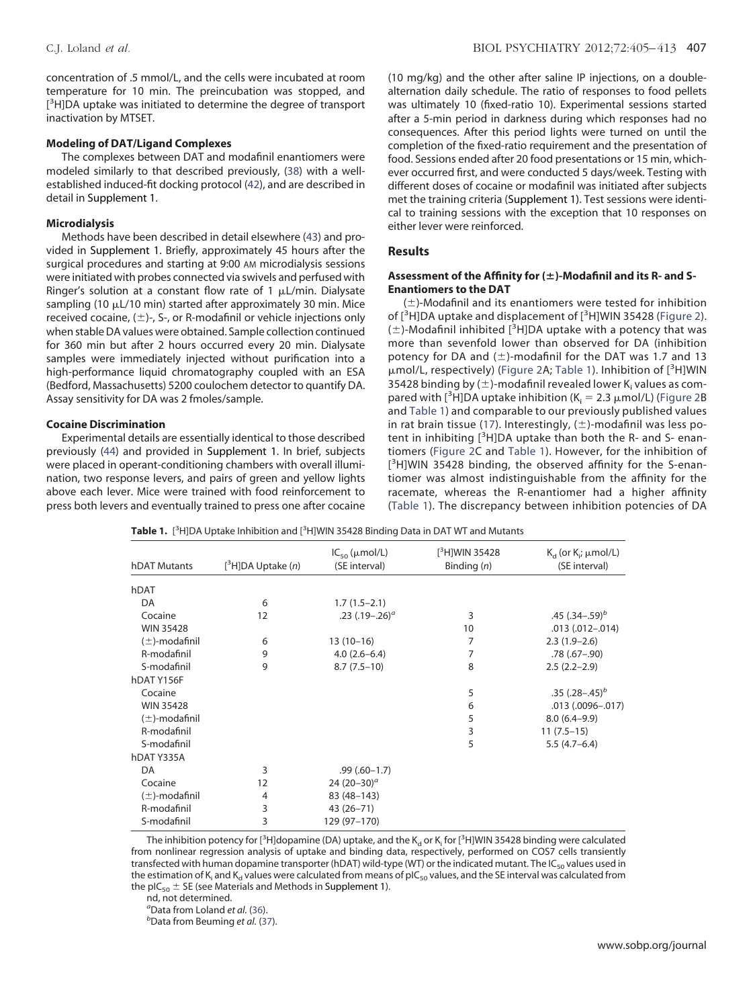concentration of .5 mmol/L, and the cells were incubated at room temperature for 10 min. The preincubation was stopped, and [<sup>3</sup>H]DA uptake was initiated to determine the degree of transport inactivation by MTSET.

#### **Modeling of DAT/Ligand Complexes**

The complexes between DAT and modafinil enantiomers were modeled similarly to that described previously, (38) with a wellestablished induced-fit docking protocol (42), and are described in detail in Supplement 1.

## **Microdialysis**

Methods have been described in detail elsewhere (43) and provided in Supplement 1. Briefly, approximately 45 hours after the surgical procedures and starting at 9:00 AM microdialysis sessions were initiated with probes connected via swivels and perfused with Ringer's solution at a constant flow rate of 1  $\mu$ L/min. Dialysate sampling (10  $\mu$ L/10 min) started after approximately 30 min. Mice received cocaine,  $(\pm)$ -, S-, or R-modafinil or vehicle injections only when stable DA values were obtained. Sample collection continued for 360 min but after 2 hours occurred every 20 min. Dialysate samples were immediately injected without purification into a high-performance liquid chromatography coupled with an ESA (Bedford, Massachusetts) 5200 coulochem detector to quantify DA. Assay sensitivity for DA was 2 fmoles/sample.

## **Cocaine Discrimination**

Experimental details are essentially identical to those described previously (44) and provided in Supplement 1. In brief, subjects were placed in operant-conditioning chambers with overall illumination, two response levers, and pairs of green and yellow lights above each lever. Mice were trained with food reinforcement to press both levers and eventually trained to press one after cocaine (10 mg/kg) and the other after saline IP injections, on a doublealternation daily schedule. The ratio of responses to food pellets was ultimately 10 (fixed-ratio 10). Experimental sessions started after a 5-min period in darkness during which responses had no consequences. After this period lights were turned on until the completion of the fixed-ratio requirement and the presentation of food. Sessions ended after 20 food presentations or 15 min, whichever occurred first, and were conducted 5 days/week. Testing with different doses of cocaine or modafinil was initiated after subjects met the training criteria (Supplement 1). Test sessions were identical to training sessions with the exception that 10 responses on either lever were reinforced.

## **Results**

#### **Assessment of the Affinity for ()-Modafinil and its R- and S-Enantiomers to the DAT**

 $(\pm)$ -Modafinil and its enantiomers were tested for inhibition of [<sup>3</sup>H]DA uptake and displacement of [<sup>3</sup>H]WIN 35428 (Figure 2).  $(\pm)$ -Modafinil inhibited [ ${}^{3}$ H]DA uptake with a potency that was more than sevenfold lower than observed for DA (inhibition potency for DA and  $(\pm)$ -modafinil for the DAT was 1.7 and 13 .<br>µmol/L, respectively) (Figure 2A; Table 1). Inhibition of [<sup>3</sup>H]WIN 35428 binding by  $(\pm)$ -modafinil revealed lower K<sub>i</sub> values as compared with [<sup>3</sup>H]DA uptake inhibition (K<sub>i</sub> = 2.3  $\mu$ mol/L) (Figure 2B and Table 1) and comparable to our previously published values in rat brain tissue (17). Interestingly,  $(\pm)$ -modafinil was less potent in inhibiting [<sup>3</sup>H]DA uptake than both the R- and S- enantiomers (Figure 2C and Table 1). However, for the inhibition of [<sup>3</sup>H]WIN 35428 binding, the observed affinity for the S-enantiomer was almost indistinguishable from the affinity for the racemate, whereas the R-enantiomer had a higher affinity (Table 1). The discrepancy between inhibition potencies of DA

| <b>hDAT Mutants</b> | $[{}^3H]DA$ Uptake ( <i>n</i> ) | $IC_{50}$ ( $\mu$ mol/L)<br>(SE interval) | $[3H]$ WIN 35428<br>Binding $(n)$ | $K_d$ (or $K_i$ ; $\mu$ mol/L)<br>(SE interval) |
|---------------------|---------------------------------|-------------------------------------------|-----------------------------------|-------------------------------------------------|
| hDAT                |                                 |                                           |                                   |                                                 |
| DA                  | 6                               | $1.7(1.5-2.1)$                            |                                   |                                                 |
| Cocaine             | 12                              | .23 $(.19-.26)^{a}$                       | 3                                 | .45 $(.34-.59)^b$                               |
| <b>WIN 35428</b>    |                                 |                                           | 10                                | $.013(.012-.014)$                               |
| $(\pm)$ -modafinil  | 6                               | $13(10-16)$                               | 7                                 | $2.3(1.9-2.6)$                                  |
| R-modafinil         | 9                               | $4.0(2.6-6.4)$                            | 7                                 | $.78(.67-.90)$                                  |
| S-modafinil         | 9                               | $8.7(7.5-10)$                             | 8                                 | $2.5(2.2-2.9)$                                  |
| hDAT Y156F          |                                 |                                           |                                   |                                                 |
| Cocaine             |                                 |                                           | 5                                 | .35 $(.28-.45)^b$                               |
| <b>WIN 35428</b>    |                                 |                                           | 6                                 | .013 (.0096 -.017)                              |
| $(\pm)$ -modafinil  |                                 |                                           | 5                                 | $8.0(6.4-9.9)$                                  |
| R-modafinil         |                                 |                                           | 3                                 | $11(7.5-15)$                                    |
| S-modafinil         |                                 |                                           | 5                                 | $5.5(4.7-6.4)$                                  |
| <b>hDAT Y335A</b>   |                                 |                                           |                                   |                                                 |
| DA                  | 3                               | $.99(.60-1.7)$                            |                                   |                                                 |
| Cocaine             | 12                              | 24 $(20-30)^a$                            |                                   |                                                 |
| $(\pm)$ -modafinil  | $\overline{4}$                  | 83 (48-143)                               |                                   |                                                 |
| R-modafinil         | 3                               | $43(26 - 71)$                             |                                   |                                                 |
| S-modafinil         | 3                               | 129 (97-170)                              |                                   |                                                 |
|                     |                                 |                                           |                                   |                                                 |

Table 1. [<sup>3</sup>H]DA Uptake Inhibition and [<sup>3</sup>H]WIN 35428 Binding Data in DAT WT and Mutants

The inhibition potency for [ $^3$ H]dopamine (DA) uptake, and the K<sub>d</sub> or K<sub>i</sub> for [ $^3$ H]WIN 35428 binding were calculated from nonlinear regression analysis of uptake and binding data, respectively, performed on COS7 cells transiently transfected with human dopamine transporter (hDAT) wild-type (WT) or the indicated mutant. The IC<sub>50</sub> values used in the estimation of K<sub>i</sub> and K<sub>d</sub> values were calculated from means of pIC<sub>50</sub> values, and the SE interval was calculated from the pIC<sub>50</sub>  $\pm$  SE (see Materials and Methods in Supplement 1).

nd, not determined.

*a* Data from Loland *et al.* (36). *<sup>b</sup>*

Data from Beuming *et al.* (37).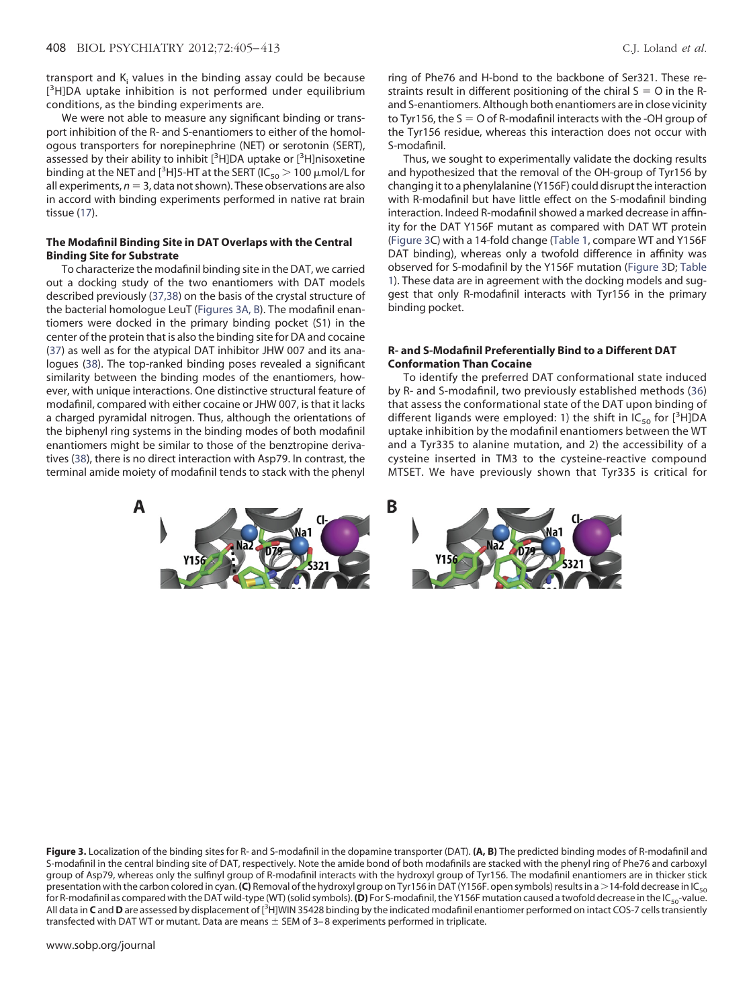transport and  $K<sub>i</sub>$  values in the binding assay could be because [<sup>3</sup>H]DA uptake inhibition is not performed under equilibrium conditions, as the binding experiments are.

We were not able to measure any significant binding or transport inhibition of the R- and S-enantiomers to either of the homologous transporters for norepinephrine (NET) or serotonin (SERT), assessed by their ability to inhibit [<sup>3</sup>H]DA uptake or [<sup>3</sup>H]nisoxetine binding at the NET and [<sup>3</sup>H]5-HT at the SERT (IC<sub>50</sub>  $>$  100  $\mu$ mol/L for all experiments,  $n = 3$ , data not shown). These observations are also in accord with binding experiments performed in native rat brain tissue (17).

#### **The Modafinil Binding Site in DAT Overlaps with the Central Binding Site for Substrate**

To characterize the modafinil binding site in the DAT, we carried out a docking study of the two enantiomers with DAT models described previously (37,38) on the basis of the crystal structure of the bacterial homologue LeuT (Figures 3A, B). The modafinil enantiomers were docked in the primary binding pocket (S1) in the center of the protein that is also the binding site for DA and cocaine (37) as well as for the atypical DAT inhibitor JHW 007 and its analogues (38). The top-ranked binding poses revealed a significant similarity between the binding modes of the enantiomers, however, with unique interactions. One distinctive structural feature of modafinil, compared with either cocaine or JHW 007, is that it lacks a charged pyramidal nitrogen. Thus, although the orientations of the biphenyl ring systems in the binding modes of both modafinil enantiomers might be similar to those of the benztropine derivatives (38), there is no direct interaction with Asp79. In contrast, the terminal amide moiety of modafinil tends to stack with the phenyl

ring of Phe76 and H-bond to the backbone of Ser321. These restraints result in different positioning of the chiral  $S = O$  in the Rand S-enantiomers. Although both enantiomers are in close vicinity to Tyr156, the  $S = O$  of R-modafinil interacts with the -OH group of the Tyr156 residue, whereas this interaction does not occur with S-modafinil.

Thus, we sought to experimentally validate the docking results and hypothesized that the removal of the OH-group of Tyr156 by changing it to a phenylalanine (Y156F) could disrupt the interaction with R-modafinil but have little effect on the S-modafinil binding interaction. Indeed R-modafinil showed a marked decrease in affinity for the DAT Y156F mutant as compared with DAT WT protein (Figure 3C) with a 14-fold change (Table 1, compare WT and Y156F DAT binding), whereas only a twofold difference in affinity was observed for S-modafinil by the Y156F mutation (Figure 3D; Table 1). These data are in agreement with the docking models and suggest that only R-modafinil interacts with Tyr156 in the primary binding pocket.

## **R- and S-Modafinil Preferentially Bind to a Different DAT Conformation Than Cocaine**

To identify the preferred DAT conformational state induced by R- and S-modafinil, two previously established methods (36) that assess the conformational state of the DAT upon binding of different ligands were employed: 1) the shift in  $IC_{50}$  for [<sup>3</sup>H]DA uptake inhibition by the modafinil enantiomers between the WT and a Tyr335 to alanine mutation, and 2) the accessibility of a cysteine inserted in TM3 to the cysteine-reactive compound MTSET. We have previously shown that Tyr335 is critical for

**Figure 3.** Localization of the binding sites for R- and S-modafinil in the dopamine transporter (DAT). **(A, B)** The predicted binding modes of R-modafinil and S-modafinil in the central binding site of DAT, respectively. Note the amide bond of both modafinils are stacked with the phenyl ring of Phe76 and carboxyl group of Asp79, whereas only the sulfinyl group of R-modafinil interacts with the hydroxyl group of Tyr156. The modafinil enantiomers are in thicker stick presentation with the carbon colored in cyan. **(C)** Removal of the hydroxyl group on Tyr156 in DAT (Y156F. open symbols) results in a >14-fold decrease in IC<sub>50</sub> for R-modafinil as compared with the DAT wild-type (WT) (solid symbols). (D) For S-modafinil, the Y156F mutation caused a twofold decrease in the IC<sub>50</sub>-value. All data in Cand D are assessed by displacement of [<sup>3</sup>H]WIN 35428 binding by the indicated modafinil enantiomer performed on intact COS-7 cells transiently transfected with DAT WT or mutant. Data are means  $\pm$  SEM of 3-8 experiments performed in triplicate.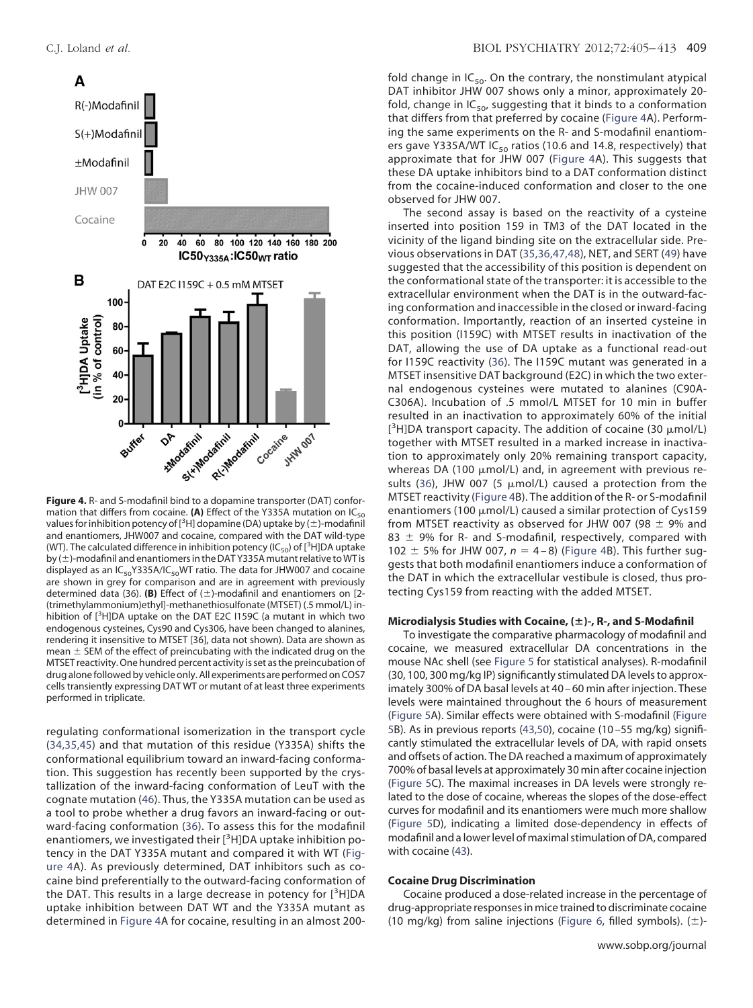

**Figure 4.** R- and S-modafinil bind to a dopamine transporter (DAT) conformation that differs from cocaine. **(A)** Effect of the Y335A mutation on  $IC_{50}$ values for inhibition potency of [ $^3$ H] dopamine (DA) uptake by ( $\pm$ )-modafinil and enantiomers, JHW007 and cocaine, compared with the DAT wild-type (WT). The calculated difference in inhibition potency (IC<sub>50</sub>) of [<sup>3</sup>H]DA uptake by  $(\pm)$ -modafinil and enantiomers in the DAT Y335A mutant relative to WT is displayed as an  $IC_{50}Y335A/IC_{50}WT$  ratio. The data for JHW007 and cocaine are shown in grey for comparison and are in agreement with previously determined data (36). **(B)** Effect of  $(\pm)$ -modafinil and enantiomers on [2-(trimethylammonium)ethyl]-methanethiosulfonate (MTSET) (.5 mmol/L) inhibition of [<sup>3</sup>H]DA uptake on the DAT E2C I159C (a mutant in which two endogenous cysteines, Cys90 and Cys306, have been changed to alanines, rendering it insensitive to MTSET [36], data not shown). Data are shown as mean  $\pm$  SEM of the effect of preincubating with the indicated drug on the MTSET reactivity. One hundred percent activity is set as the preincubation of drug alone followed by vehicle only. All experiments are performed on COS7 cells transiently expressing DAT WT or mutant of at least three experiments performed in triplicate.

regulating conformational isomerization in the transport cycle (34,35,45) and that mutation of this residue (Y335A) shifts the conformational equilibrium toward an inward-facing conformation. This suggestion has recently been supported by the crystallization of the inward-facing conformation of LeuT with the cognate mutation (46). Thus, the Y335A mutation can be used as a tool to probe whether a drug favors an inward-facing or outward-facing conformation (36). To assess this for the modafinil enantiomers, we investigated their [<sup>3</sup>H]DA uptake inhibition potency in the DAT Y335A mutant and compared it with WT (Figure 4A). As previously determined, DAT inhibitors such as cocaine bind preferentially to the outward-facing conformation of the DAT. This results in a large decrease in potency for [<sup>3</sup>H]DA uptake inhibition between DAT WT and the Y335A mutant as determined in Figure 4A for cocaine, resulting in an almost 200fold change in  $IC_{50}$ . On the contrary, the nonstimulant atypical DAT inhibitor JHW 007 shows only a minor, approximately 20 fold, change in  $IC_{50}$ , suggesting that it binds to a conformation that differs from that preferred by cocaine (Figure 4A). Performing the same experiments on the R- and S-modafinil enantiomers gave Y335A/WT IC<sub>50</sub> ratios (10.6 and 14.8, respectively) that approximate that for JHW 007 (Figure 4A). This suggests that these DA uptake inhibitors bind to a DAT conformation distinct from the cocaine-induced conformation and closer to the one observed for JHW 007.

The second assay is based on the reactivity of a cysteine inserted into position 159 in TM3 of the DAT located in the vicinity of the ligand binding site on the extracellular side. Previous observations in DAT (35,36,47,48), NET, and SERT (49) have suggested that the accessibility of this position is dependent on the conformational state of the transporter: it is accessible to the extracellular environment when the DAT is in the outward-facing conformation and inaccessible in the closed or inward-facing conformation. Importantly, reaction of an inserted cysteine in this position (I159C) with MTSET results in inactivation of the DAT, allowing the use of DA uptake as a functional read-out for I159C reactivity (36). The I159C mutant was generated in a MTSET insensitive DAT background (E2C) in which the two external endogenous cysteines were mutated to alanines (C90A-C306A). Incubation of .5 mmol/L MTSET for 10 min in buffer resulted in an inactivation to approximately 60% of the initial [ $3$ H]DA transport capacity. The addition of cocaine (30  $\mu$ mol/L) together with MTSET resulted in a marked increase in inactivation to approximately only 20% remaining transport capacity, whereas DA (100  $\mu$ mol/L) and, in agreement with previous results (36), JHW 007 (5  $\mu$ mol/L) caused a protection from the MTSET reactivity (Figure 4B). The addition of the R- or S-modafinil enantiomers (100  $\mu$ mol/L) caused a similar protection of Cys159 from MTSET reactivity as observed for JHW 007 (98  $\pm$  9% and 83  $\pm$  9% for R- and S-modafinil, respectively, compared with 102  $\pm$  5% for JHW 007,  $n = 4-8$ ) (Figure 4B). This further suggests that both modafinil enantiomers induce a conformation of the DAT in which the extracellular vestibule is closed, thus protecting Cys159 from reacting with the added MTSET.

#### **Microdialysis Studies with Cocaine, ()-, R-, and S-Modafinil**

To investigate the comparative pharmacology of modafinil and cocaine, we measured extracellular DA concentrations in the mouse NAc shell (see Figure 5 for statistical analyses). R-modafinil (30, 100, 300 mg/kg IP) significantly stimulated DA levels to approximately 300% of DA basal levels at 40 – 60 min after injection. These levels were maintained throughout the 6 hours of measurement (Figure 5A). Similar effects were obtained with S-modafinil (Figure 5B). As in previous reports (43,50), cocaine (10 –55 mg/kg) significantly stimulated the extracellular levels of DA, with rapid onsets and offsets of action. The DA reached a maximum of approximately 700% of basal levels at approximately 30 min after cocaine injection (Figure 5C). The maximal increases in DA levels were strongly related to the dose of cocaine, whereas the slopes of the dose-effect curves for modafinil and its enantiomers were much more shallow (Figure 5D), indicating a limited dose-dependency in effects of modafinil and a lower level of maximal stimulation of DA, compared with cocaine (43).

#### **Cocaine Drug Discrimination**

Cocaine produced a dose-related increase in the percentage of drug-appropriate responses in mice trained to discriminate cocaine (10 mg/kg) from saline injections (Figure 6, filled symbols).  $(\pm)$ -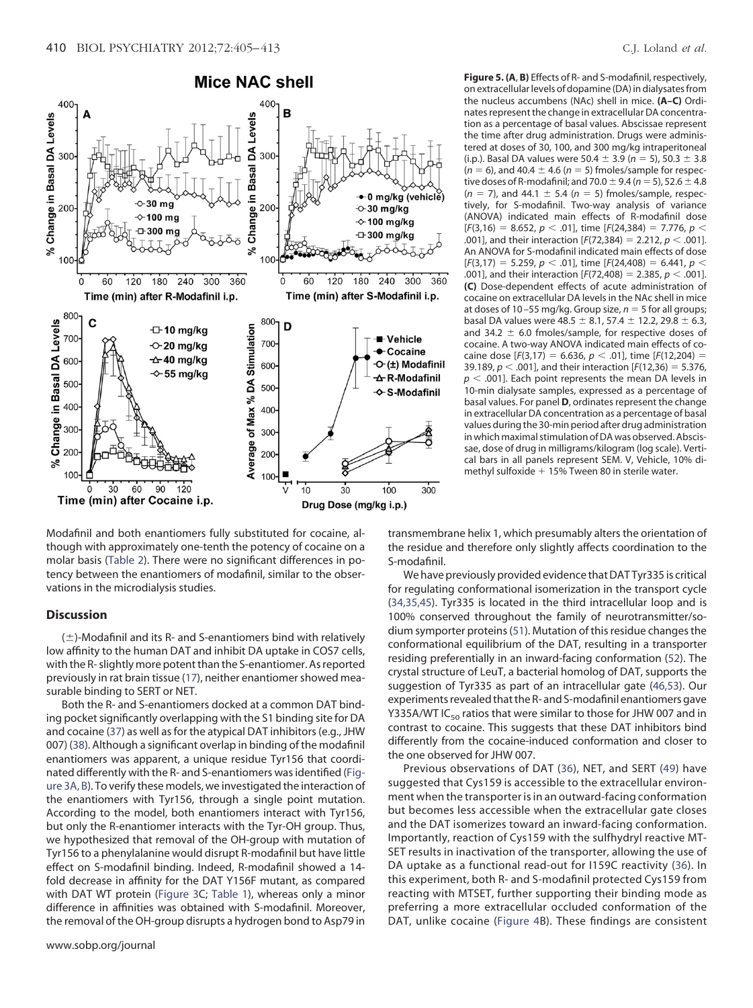

**Figure 5. (A**, **B)** Effects of R- and S-modafinil, respectively, on extracellular levels of dopamine (DA) in dialysatesfrom the nucleus accumbens (NAc) shell in mice. **(A–C)** Ordinates represent the change in extracellular DA concentration as a percentage of basal values. Abscissae represent the time after drug administration. Drugs were administered at doses of 30, 100, and 300 mg/kg intraperitoneal (i.p.). Basal DA values were 50.4  $\pm$  3.9 ( $n = 5$ ), 50.3  $\pm$  3.8  $(n = 6)$ , and 40.4  $\pm$  4.6 ( $n = 5$ ) fmoles/sample for respective doses of R-modafinil; and  $70.0 \pm 9.4$  ( $n = 5$ ),  $52.6 \pm 4.8$  $(n = 7)$ , and 44.1  $\pm$  5.4 ( $n = 5$ ) fmoles/sample, respectively, for S-modafinil. Two-way analysis of variance (ANOVA) indicated main effects of R-modafinil dose  $[F(3,16) = 8.652, p < .01]$ , time  $[F(24,384) = 7.776, p < .01]$ .001], and their interaction  $[F(72,384) = 2.212, p < .001]$ . An ANOVA for S-modafinil indicated main effects of dose  $[F(3,17) = 5.259, p < .01]$ , time  $[F(24,408) = 6.441, p < .01]$ .001], and their interaction  $[F(72, 408) = 2.385, p < .001]$ . **(C)** Dose-dependent effects of acute administration of cocaine on extracellular DA levels in the NAc shell in mice at doses of 10-55 mg/kg. Group size,  $n = 5$  for all groups; basal DA values were  $48.5 \pm 8.1$ , 57.4  $\pm$  12.2, 29.8  $\pm$  6.3, and 34.2  $\pm$  6.0 fmoles/sample, for respective doses of cocaine. A two-way ANOVA indicated main effects of cocaine dose  $[F(3,17) = 6.636, p < .01]$ , time  $[F(12,204) =$ 39.189,  $p < .001$ ], and their interaction [ $F(12,36) = 5.376$ ,  $p < .001$ ]. Each point represents the mean DA levels in 10-min dialysate samples, expressed as a percentage of basal values. For panel **D**, ordinates represent the change in extracellular DA concentration as a percentage of basal values during the 30-min period after drug administration in which maximal stimulation of DA was observed. Abscissae, dose of drug in milligrams/kilogram (log scale). Vertical bars in all panels represent SEM. V, Vehicle, 10% dimethyl sulfoxide  $+15%$  Tween 80 in sterile water.

Modafinil and both enantiomers fully substituted for cocaine, although with approximately one-tenth the potency of cocaine on a molar basis (Table 2). There were no significant differences in potency between the enantiomers of modafinil, similar to the observations in the microdialysis studies.

# **Discussion**

 $(\pm)$ -Modafinil and its R- and S-enantiomers bind with relatively low affinity to the human DAT and inhibit DA uptake in COS7 cells, with the R- slightly more potent than the S-enantiomer. As reported previously in rat brain tissue (17), neither enantiomer showed measurable binding to SERT or NET.

Both the R- and S-enantiomers docked at a common DAT binding pocket significantly overlapping with the S1 binding site for DA and cocaine (37) as well as for the atypical DAT inhibitors (e.g., JHW 007) (38). Although a significant overlap in binding of the modafinil enantiomers was apparent, a unique residue Tyr156 that coordinated differently with the R- and S-enantiomers was identified (Figure 3A, B). To verify these models, we investigated the interaction of the enantiomers with Tyr156, through a single point mutation. According to the model, both enantiomers interact with Tyr156, but only the R-enantiomer interacts with the Tyr-OH group. Thus, we hypothesized that removal of the OH-group with mutation of Tyr156 to a phenylalanine would disrupt R-modafinil but have little effect on S-modafinil binding. Indeed, R-modafinil showed a 14 fold decrease in affinity for the DAT Y156F mutant, as compared with DAT WT protein (Figure 3C; Table 1), whereas only a minor difference in affinities was obtained with S-modafinil. Moreover, the removal of the OH-group disrupts a hydrogen bond to Asp79 in transmembrane helix 1, which presumably alters the orientation of the residue and therefore only slightly affects coordination to the S-modafinil.

We have previously provided evidence that DAT Tyr335 is critical for regulating conformational isomerization in the transport cycle (34,35,45). Tyr335 is located in the third intracellular loop and is 100% conserved throughout the family of neurotransmitter/sodium symporter proteins (51). Mutation of this residue changes the conformational equilibrium of the DAT, resulting in a transporter residing preferentially in an inward-facing conformation (52). The crystal structure of LeuT, a bacterial homolog of DAT, supports the suggestion of Tyr335 as part of an intracellular gate (46,53). Our experiments revealed that the R- and S-modafinil enantiomers gave Y335A/WT IC<sub>50</sub> ratios that were similar to those for JHW 007 and in contrast to cocaine. This suggests that these DAT inhibitors bind differently from the cocaine-induced conformation and closer to the one observed for JHW 007.

Previous observations of DAT (36), NET, and SERT (49) have suggested that Cys159 is accessible to the extracellular environment when the transporter is in an outward-facing conformation but becomes less accessible when the extracellular gate closes and the DAT isomerizes toward an inward-facing conformation. Importantly, reaction of Cys159 with the sulfhydryl reactive MT-SET results in inactivation of the transporter, allowing the use of DA uptake as a functional read-out for I159C reactivity (36). In this experiment, both R- and S-modafinil protected Cys159 from reacting with MTSET, further supporting their binding mode as preferring a more extracellular occluded conformation of the DAT, unlike cocaine (Figure 4B). These findings are consistent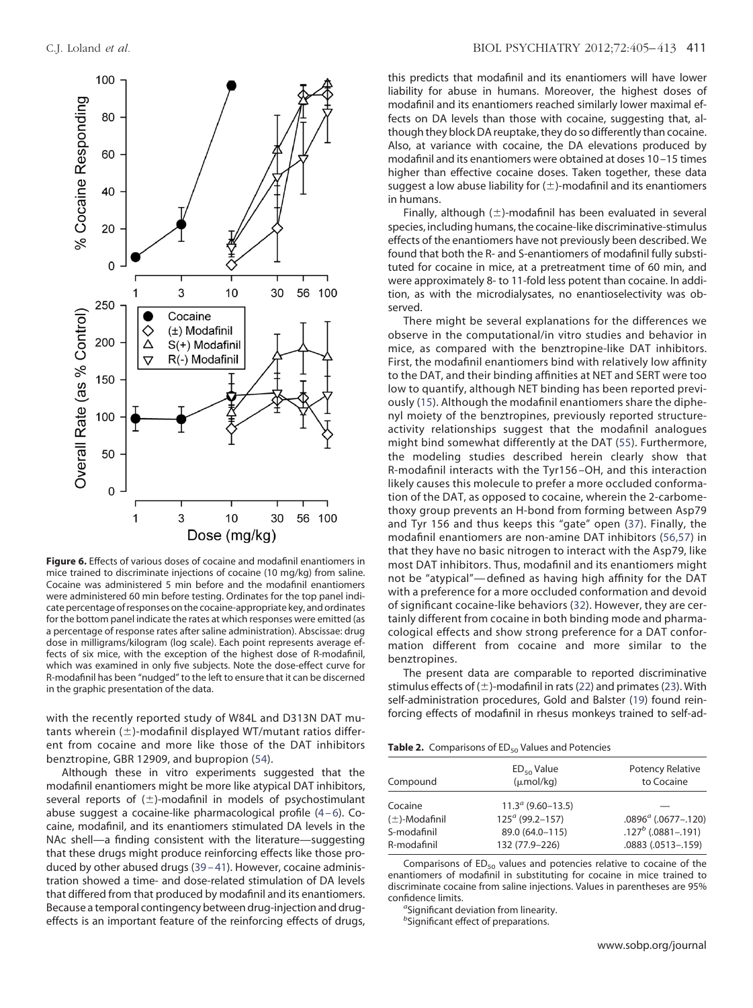

**Figure 6.** Effects of various doses of cocaine and modafinil enantiomers in mice trained to discriminate injections of cocaine (10 mg/kg) from saline. Cocaine was administered 5 min before and the modafinil enantiomers were administered 60 min before testing. Ordinates for the top panel indicate percentage of responses on the cocaine-appropriate key, and ordinates for the bottom panel indicate the rates at which responses were emitted (as a percentage of response rates after saline administration). Abscissae: drug dose in milligrams/kilogram (log scale). Each point represents average effects of six mice, with the exception of the highest dose of R-modafinil, which was examined in only five subjects. Note the dose-effect curve for R-modafinil has been "nudged" to the left to ensure that it can be discerned in the graphic presentation of the data.

with the recently reported study of W84L and D313N DAT mutants wherein  $(\pm)$ -modafinil displayed WT/mutant ratios different from cocaine and more like those of the DAT inhibitors benztropine, GBR 12909, and bupropion (54).

Although these in vitro experiments suggested that the modafinil enantiomers might be more like atypical DAT inhibitors, several reports of  $(\pm)$ -modafinil in models of psychostimulant abuse suggest a cocaine-like pharmacological profile (4–6). Cocaine, modafinil, and its enantiomers stimulated DA levels in the NAc shell—a finding consistent with the literature—suggesting that these drugs might produce reinforcing effects like those produced by other abused drugs (39 – 41). However, cocaine administration showed a time- and dose-related stimulation of DA levels that differed from that produced by modafinil and its enantiomers. Because a temporal contingency between drug-injection and drugeffects is an important feature of the reinforcing effects of drugs,

this predicts that modafinil and its enantiomers will have lower liability for abuse in humans. Moreover, the highest doses of modafinil and its enantiomers reached similarly lower maximal effects on DA levels than those with cocaine, suggesting that, although they block DA reuptake, they do so differently than cocaine. Also, at variance with cocaine, the DA elevations produced by modafinil and its enantiomers were obtained at doses 10 –15 times higher than effective cocaine doses. Taken together, these data suggest a low abuse liability for  $(\pm)$ -modafinil and its enantiomers in humans.

Finally, although  $(\pm)$ -modafinil has been evaluated in several species, including humans, the cocaine-like discriminative-stimulus effects of the enantiomers have not previously been described. We found that both the R- and S-enantiomers of modafinil fully substituted for cocaine in mice, at a pretreatment time of 60 min, and were approximately 8- to 11-fold less potent than cocaine. In addition, as with the microdialysates, no enantioselectivity was observed.

There might be several explanations for the differences we observe in the computational/in vitro studies and behavior in mice, as compared with the benztropine-like DAT inhibitors. First, the modafinil enantiomers bind with relatively low affinity to the DAT, and their binding affinities at NET and SERT were too low to quantify, although NET binding has been reported previously (15). Although the modafinil enantiomers share the diphenyl moiety of the benztropines, previously reported structureactivity relationships suggest that the modafinil analogues might bind somewhat differently at the DAT (55). Furthermore, the modeling studies described herein clearly show that R-modafinil interacts with the Tyr156 –OH, and this interaction likely causes this molecule to prefer a more occluded conformation of the DAT, as opposed to cocaine, wherein the 2-carbomethoxy group prevents an H-bond from forming between Asp79 and Tyr 156 and thus keeps this "gate" open (37). Finally, the modafinil enantiomers are non-amine DAT inhibitors (56,57) in that they have no basic nitrogen to interact with the Asp79, like most DAT inhibitors. Thus, modafinil and its enantiomers might not be "atypical"— defined as having high affinity for the DAT with a preference for a more occluded conformation and devoid of significant cocaine-like behaviors (32). However, they are certainly different from cocaine in both binding mode and pharmacological effects and show strong preference for a DAT conformation different from cocaine and more similar to the benztropines.

The present data are comparable to reported discriminative stimulus effects of  $(\pm)$ -modafinil in rats (22) and primates (23). With self-administration procedures, Gold and Balster (19) found reinforcing effects of modafinil in rhesus monkeys trained to self-ad-

Table 2. Comparisons of ED<sub>50</sub> Values and Potencies

| Compound                                                    | $ED_{50}$ Value<br>$(\mu \text{mol/kg})$                                       | Potency Relative<br>to Cocaine                                        |
|-------------------------------------------------------------|--------------------------------------------------------------------------------|-----------------------------------------------------------------------|
| Cocaine<br>$(\pm)$ -Modafinil<br>S-modafinil<br>R-modafinil | $11.3a$ (9.60-13.5)<br>$125^a$ (99.2-157)<br>89.0 (64.0-115)<br>132 (77.9-226) | $.0896a$ (.0677 - .120)<br>$.127b$ (.0881-.191)<br>.0883 (.0513-.159) |

Comparisons of  $ED_{50}$  values and potencies relative to cocaine of the enantiomers of modafinil in substituting for cocaine in mice trained to discriminate cocaine from saline injections. Values in parentheses are 95% confidence limits. *<sup>a</sup>*

<sup>a</sup>Significant deviation from linearity.

*b* Significant effect of preparations.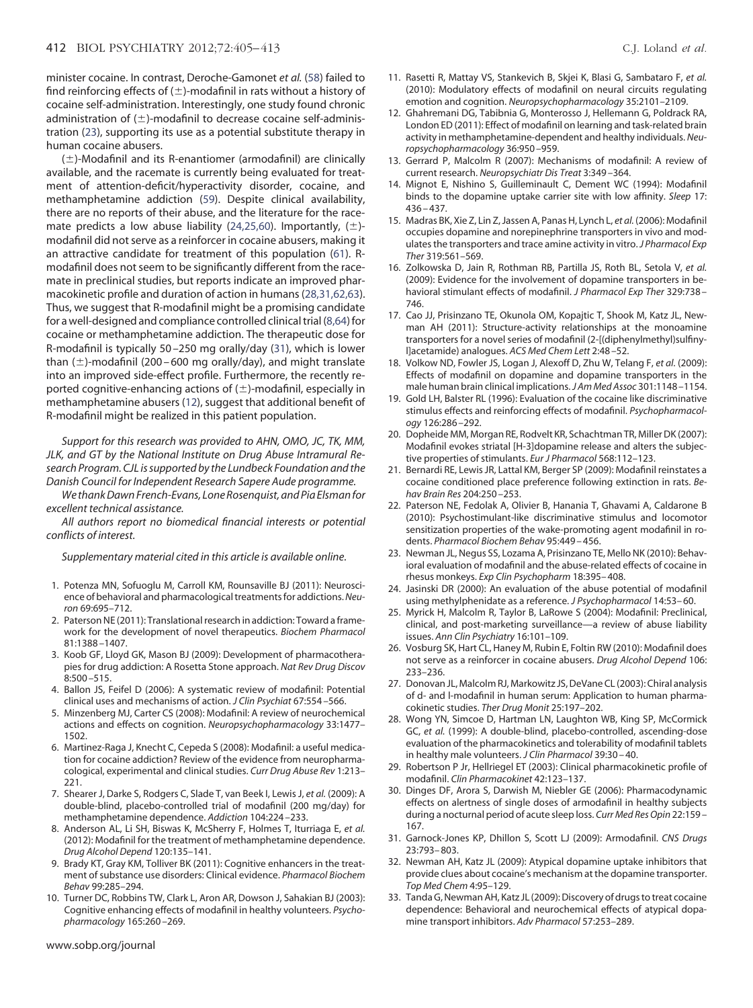minister cocaine. In contrast, Deroche-Gamonet *et al.* (58) failed to find reinforcing effects of  $(\pm)$ -modafinil in rats without a history of cocaine self-administration. Interestingly, one study found chronic administration of  $(\pm)$ -modafinil to decrease cocaine self-administration (23), supporting its use as a potential substitute therapy in human cocaine abusers.

 $(\pm)$ -Modafinil and its R-enantiomer (armodafinil) are clinically available, and the racemate is currently being evaluated for treatment of attention-deficit/hyperactivity disorder, cocaine, and methamphetamine addiction (59). Despite clinical availability, there are no reports of their abuse, and the literature for the racemate predicts a low abuse liability (24,25,60). Importantly,  $(\pm)$ modafinil did not serve as a reinforcer in cocaine abusers, making it an attractive candidate for treatment of this population (61). Rmodafinil does not seem to be significantly different from the racemate in preclinical studies, but reports indicate an improved pharmacokinetic profile and duration of action in humans (28,31,62,63). Thus, we suggest that R-modafinil might be a promising candidate for a well-designed and compliance controlled clinical trial (8,64) for cocaine or methamphetamine addiction. The therapeutic dose for R-modafinil is typically 50 –250 mg orally/day (31), which is lower than  $(\pm)$ -modafinil (200 – 600 mg orally/day), and might translate into an improved side-effect profile. Furthermore, the recently reported cognitive-enhancing actions of  $(\pm)$ -modafinil, especially in methamphetamine abusers (12), suggest that additional benefit of R-modafinil might be realized in this patient population.

*Support for this research was provided to AHN, OMO, JC, TK, MM, JLK, and GT by the National Institute on Drug Abuse Intramural Research Program. CJL is supported by the Lundbeck Foundation and the Danish Council for Independent Research Sapere Aude programme.*

*We thankDawn French-Evans, Lone Rosenquist, and Pia Elsmanfor excellent technical assistance.*

*All authors report no biomedical financial interests or potential conflicts of interest.*

*Supplementary material cited in this article is available online.*

- 1. Potenza MN, Sofuoglu M, Carroll KM, Rounsaville BJ (2011): Neuroscience of behavioral and pharmacological treatments for addictions.*Neuron* 69:695–712.
- 2. Paterson NE (2011): Translational research in addiction: Toward a framework for the development of novel therapeutics. *Biochem Pharmacol* 81:1388 –1407.
- 3. Koob GF, Lloyd GK, Mason BJ (2009): Development of pharmacotherapies for drug addiction: A Rosetta Stone approach. *Nat Rev Drug Discov* 8:500 –515.
- 4. Ballon JS, Feifel D (2006): A systematic review of modafinil: Potential clinical uses and mechanisms of action. *J Clin Psychiat* 67:554 –566.
- 5. Minzenberg MJ, Carter CS (2008): Modafinil: A review of neurochemical actions and effects on cognition. *Neuropsychopharmacology* 33:1477– 1502.
- 6. Martinez-Raga J, Knecht C, Cepeda S (2008): Modafinil: a useful medication for cocaine addiction? Review of the evidence from neuropharmacological, experimental and clinical studies. *Curr Drug Abuse Rev* 1:213– 221.
- 7. Shearer J, Darke S, Rodgers C, Slade T, van Beek I, Lewis J, *et al.* (2009): A double-blind, placebo-controlled trial of modafinil (200 mg/day) for methamphetamine dependence. *Addiction* 104:224 –233.
- 8. Anderson AL, Li SH, Biswas K, McSherry F, Holmes T, Iturriaga E, *et al.* (2012): Modafinil for the treatment of methamphetamine dependence. *Drug Alcohol Depend* 120:135–141.
- 9. Brady KT, Gray KM, Tolliver BK (2011): Cognitive enhancers in the treatment of substance use disorders: Clinical evidence. *Pharmacol Biochem Behav* 99:285–294.
- 10. Turner DC, Robbins TW, Clark L, Aron AR, Dowson J, Sahakian BJ (2003): Cognitive enhancing effects of modafinil in healthy volunteers. *Psychopharmacology* 165:260 –269.
- 11. Rasetti R, Mattay VS, Stankevich B, Skjei K, Blasi G, Sambataro F, *et al.* (2010): Modulatory effects of modafinil on neural circuits regulating emotion and cognition. *Neuropsychopharmacology* 35:2101–2109.
- 12. Ghahremani DG, Tabibnia G, Monterosso J, Hellemann G, Poldrack RA, London ED (2011): Effect of modafinil on learning and task-related brain activity in methamphetamine-dependent and healthy individuals. *Neuropsychopharmacology* 36:950 –959.
- 13. Gerrard P, Malcolm R (2007): Mechanisms of modafinil: A review of current research. *Neuropsychiatr Dis Treat* 3:349 –364.
- 14. Mignot E, Nishino S, Guilleminault C, Dement WC (1994): Modafinil binds to the dopamine uptake carrier site with low affinity. *Sleep* 17: 436 – 437.
- 15. Madras BK, Xie Z, Lin Z, Jassen A, Panas H, Lynch L, *et al.* (2006): Modafinil occupies dopamine and norepinephrine transporters in vivo and modulates the transporters and trace amine activity in vitro.*J Pharmacol Exp Ther* 319:561–569.
- 16. Zolkowska D, Jain R, Rothman RB, Partilla JS, Roth BL, Setola V, *et al.* (2009): Evidence for the involvement of dopamine transporters in behavioral stimulant effects of modafinil. *J Pharmacol Exp Ther* 329:738 – 746.
- 17. Cao JJ, Prisinzano TE, Okunola OM, Kopajtic T, Shook M, Katz JL, Newman AH (2011): Structure-activity relationships at the monoamine transporters for a novel series of modafinil (2-[(diphenylmethyl)sulfinyl]acetamide) analogues. *ACS Med Chem Lett* 2:48 –52.
- 18. Volkow ND, Fowler JS, Logan J, Alexoff D, Zhu W, Telang F, *et al.* (2009): Effects of modafinil on dopamine and dopamine transporters in the male human brain clinical implications.*J Am Med Assoc* 301:1148 –1154.
- 19. Gold LH, Balster RL (1996): Evaluation of the cocaine like discriminative stimulus effects and reinforcing effects of modafinil. *Psychopharmacology* 126:286 –292.
- 20. Dopheide MM, Morgan RE, Rodvelt KR, Schachtman TR, Miller DK (2007): Modafinil evokes striatal [H-3]dopamine release and alters the subjective properties of stimulants. *Eur J Pharmacol* 568:112–123.
- 21. Bernardi RE, Lewis JR, Lattal KM, Berger SP (2009): Modafinil reinstates a cocaine conditioned place preference following extinction in rats. *Behav Brain Res* 204:250 –253.
- 22. Paterson NE, Fedolak A, Olivier B, Hanania T, Ghavami A, Caldarone B (2010): Psychostimulant-like discriminative stimulus and locomotor sensitization properties of the wake-promoting agent modafinil in rodents. *Pharmacol Biochem Behav* 95:449 – 456.
- 23. Newman JL, Negus SS, Lozama A, Prisinzano TE, Mello NK (2010): Behavioral evaluation of modafinil and the abuse-related effects of cocaine in rhesus monkeys. *Exp Clin Psychopharm* 18:395– 408.
- 24. Jasinski DR (2000): An evaluation of the abuse potential of modafinil using methylphenidate as a reference. *J Psychopharmacol* 14:53– 60.
- 25. Myrick H, Malcolm R, Taylor B, LaRowe S (2004): Modafinil: Preclinical, clinical, and post-marketing surveillance—a review of abuse liability issues. *Ann Clin Psychiatry* 16:101–109.
- 26. Vosburg SK, Hart CL, Haney M, Rubin E, Foltin RW (2010): Modafinil does not serve as a reinforcer in cocaine abusers. *Drug Alcohol Depend* 106: 233–236.
- 27. Donovan JL, Malcolm RJ, Markowitz JS, DeVane CL (2003): Chiral analysis of d- and l-modafinil in human serum: Application to human pharmacokinetic studies. *Ther Drug Monit* 25:197–202.
- 28. Wong YN, Simcoe D, Hartman LN, Laughton WB, King SP, McCormick GC, *et al.* (1999): A double-blind, placebo-controlled, ascending-dose evaluation of the pharmacokinetics and tolerability of modafinil tablets in healthy male volunteers. *J Clin Pharmacol* 39:30 – 40.
- 29. Robertson P Jr, Hellriegel ET (2003): Clinical pharmacokinetic profile of modafinil. *Clin Pharmacokinet* 42:123–137.
- 30. Dinges DF, Arora S, Darwish M, Niebler GE (2006): Pharmacodynamic effects on alertness of single doses of armodafinil in healthy subjects during a nocturnal period of acute sleep loss. *Curr Med Res Opin* 22:159 – 167.
- 31. Garnock-Jones KP, Dhillon S, Scott LJ (2009): Armodafinil. *CNS Drugs* 23:793– 803.
- 32. Newman AH, Katz JL (2009): Atypical dopamine uptake inhibitors that provide clues about cocaine's mechanism at the dopamine transporter. *Top Med Chem* 4:95–129.
- 33. Tanda G, Newman AH, Katz JL (2009): Discovery of drugs to treat cocaine dependence: Behavioral and neurochemical effects of atypical dopamine transport inhibitors. *Adv Pharmacol* 57:253–289.